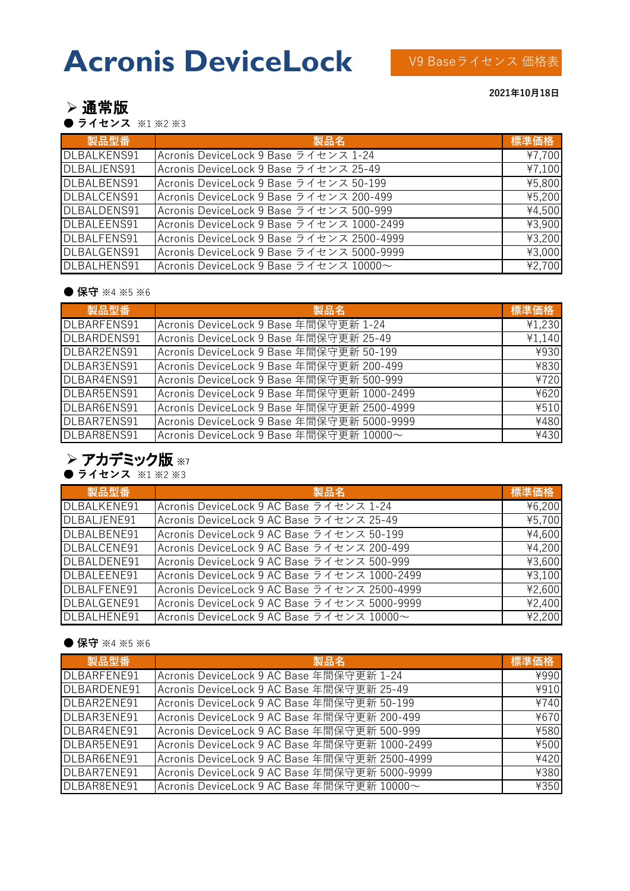# **Acronis DeviceLock**

V9 Baseライセンス 価格表

➢ 通常版

**● ライセンス** ※1 ※2 ※3

**製品型番 製品名 標準価格** DLBALKENS91 | Acronis DeviceLock 9 Base ライセンス 1-24 | ¥7,700  $DI$ BALJENS91 Acronis DeviceLock 9 Base  $\overline{z}$   $\overline{z}$  +  $\overline{z}$  25-49 DLBALBENS91 Acronis DeviceLock 9 Base ライセンス 50-199 ¥5,800 DLBALCENS91 Acronis DeviceLock 9 Base ライセンス 200-499 インス 200-499 DLBALDENS91 | Acronis DeviceLock 9 Base ライセンス 500-999 | ¥4,500 DLBALEENS91 Acronis DeviceLock 9 Base ライセンス 1000-2499 ¥3,900 DLBALFENS91 Acronis DeviceLock 9 Base ライセンス 2500-4999 + +3,200 DLBALGENS91 Acronis DeviceLock 9 Base ライセンス 5000-9999 43,000 DLBALHENS91 Acronis DeviceLock 9 Base ライセンス 10000~ | ¥2,700

#### **● 保守 ※4 ※5 ※6**

| 製品型番        | 製品名                                        | 標準価格   |
|-------------|--------------------------------------------|--------|
| DLBARFENS91 | Acronis DeviceLock 9 Base 年間保守更新 1-24      | ¥1,230 |
| DLBARDENS91 | Acronis DeviceLock 9 Base 年間保守更新 25-49     | ¥1,140 |
| DLBAR2ENS91 | Acronis DeviceLock 9 Base 年間保守更新 50-199    | ¥930   |
| DLBAR3ENS91 | Acronis DeviceLock 9 Base 年間保守更新 200-499   | ¥830   |
| DLBAR4ENS91 | Acronis DeviceLock 9 Base 年間保守更新 500-999   | ¥720   |
| DLBAR5ENS91 | Acronis DeviceLock 9 Base 年間保守更新 1000-2499 | ¥620   |
| DLBAR6ENS91 | Acronis DeviceLock 9 Base 年間保守更新 2500-4999 | ¥510   |
| DLBAR7ENS91 | Acronis DeviceLock 9 Base 年間保守更新 5000-9999 | ¥480   |
| DLBAR8ENS91 | Acronis DeviceLock 9 Base 年間保守更新 10000~    | ¥430   |

## ➢ アカデミック版 ※7

**● ライセンス** ※1 ※2 ※3

| 製品型番        | 製品名                                          | 標準価格   |
|-------------|----------------------------------------------|--------|
| DLBALKENE91 | Acronis DeviceLock 9 AC Base ライセンス 1-24      | ¥6,200 |
| DLBALJENE91 | Acronis DeviceLock 9 AC Base ライセンス 25-49     | ¥5,700 |
| DLBALBENE91 | Acronis DeviceLock 9 AC Base ライセンス 50-199    | ¥4,600 |
| DLBALCENE91 | Acronis DeviceLock 9 AC Base ライセンス 200-499   | ¥4,200 |
| DLBALDENE91 | Acronis DeviceLock 9 AC Base ライセンス 500-999   | ¥3,600 |
| DLBALEENE91 | Acronis DeviceLock 9 AC Base ライセンス 1000-2499 | ¥3,100 |
| DLBALFENE91 | Acronis DeviceLock 9 AC Base ライセンス 2500-4999 | ¥2,600 |
| DLBALGENE91 | Acronis DeviceLock 9 AC Base ライセンス 5000-9999 | ¥2,400 |
| DLBALHENE91 | Acronis DeviceLock 9 AC Base ライセンス 10000~    | ¥2,200 |

#### **● 保守 ※4 ※5 ※6**

| 製品型番        | 製品名                                           | 標準価格 |
|-------------|-----------------------------------------------|------|
| DLBARFENE91 | Acronis DeviceLock 9 AC Base 年間保守更新 1-24      | ¥990 |
| DLBARDENE91 | Acronis DeviceLock 9 AC Base 年間保守更新 25-49     | ¥910 |
| DLBAR2ENE91 | Acronis DeviceLock 9 AC Base 年間保守更新 50-199    | ¥740 |
| DLBAR3ENE91 | Acronis DeviceLock 9 AC Base 年間保守更新 200-499   | ¥670 |
| DLBAR4ENE91 | Acronis DeviceLock 9 AC Base 年間保守更新 500-999   | ¥580 |
| DLBAR5ENE91 | Acronis DeviceLock 9 AC Base 年間保守更新 1000-2499 | ¥500 |
| DLBAR6ENE91 | Acronis DeviceLock 9 AC Base 年間保守更新 2500-4999 | ¥420 |
| DLBAR7ENE91 | Acronis DeviceLock 9 AC Base 年間保守更新 5000-9999 | ¥380 |
| DLBAR8ENE91 | Acronis DeviceLock 9 AC Base 年間保守更新 10000~    | ¥350 |

**2021年10月18日**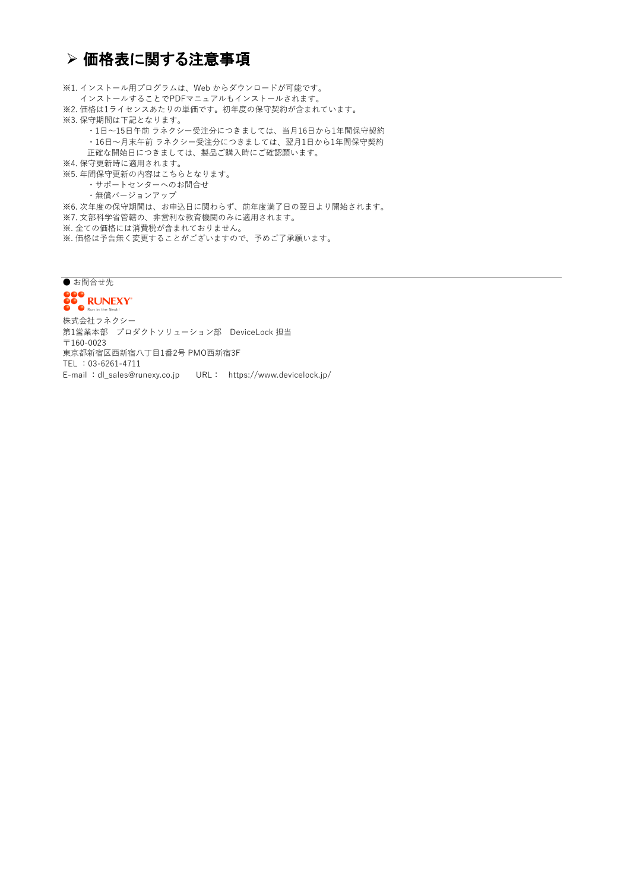## ➢ 価格表に関する注意事項

※1. インストール用プログラムは、Web からダウンロードが可能です。 インストールすることでPDFマニュアルもインストールされます。 ※2. 価格は1ライセンスあたりの単価です。初年度の保守契約が含まれています。 ※3. 保守期間は下記となります。 ・1日~15日午前 ラネクシー受注分につきましては、当月16日から1年間保守契約 ・16日~月末午前 ラネクシー受注分につきましては、翌月1日から1年間保守契約 正確な開始日につきましては、製品ご購入時にご確認願います。 ※4. 保守更新時に適用されます。 ※5. 年間保守更新の内容はこちらとなります。 ・サポートセンターへのお問合せ ・無償バージョンアップ ※6. 次年度の保守期間は、お申込日に関わらず、前年度満了日の翌日より開始されます。 ※7. 文部科学省管轄の、非営利な教育機関のみに適用されます。 ※. 全ての価格には消費税が含まれておりません。

※. 価格は予告無く変更することがございますので、予めご了承願います。

● お問合せ先

第1営業本部 プロダクトソリューション部 DeviceLock 担当 〒160-0023 東京都新宿区西新宿八丁目1番2号 PMO西新宿3F TEL :03-6261-4711 E-mail :dl\_sales@runexy.co.jp URL: https://www.devicelock.jp/ 株式会社ラネクシー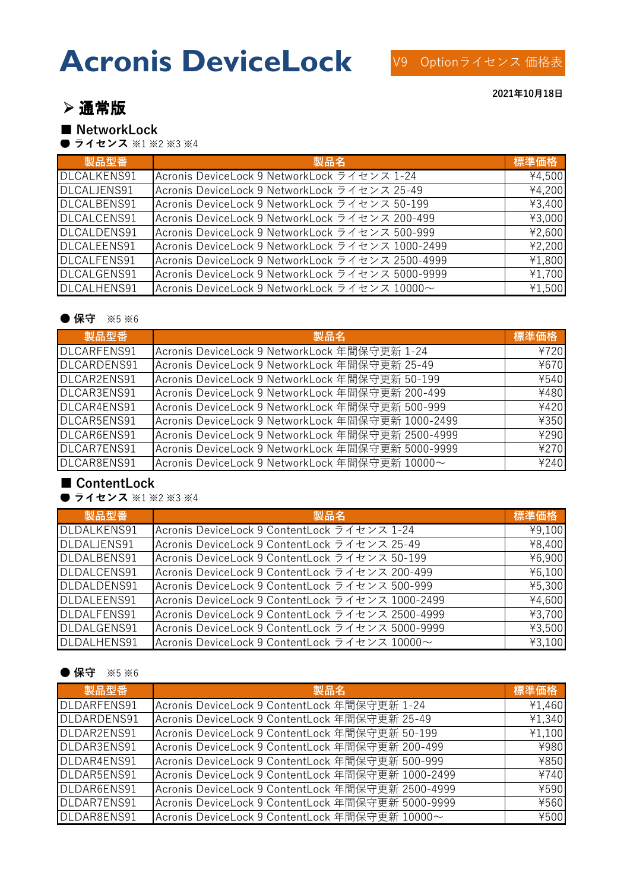# **Acronis DeviceLock**

## ➢ 通常版

## **■ NetworkLock**

**● ライセンス** ※1 ※2 ※3 ※4

| 製品型番        | 製品名                                              | 標準価格   |
|-------------|--------------------------------------------------|--------|
| DLCALKENS91 | Acronis DeviceLock 9 NetworkLock ライセンス 1-24      | ¥4,500 |
| DLCALJENS91 | Acronis DeviceLock 9 NetworkLock ライセンス 25-49     | ¥4,200 |
| DLCALBENS91 | Acronis DeviceLock 9 NetworkLock ライセンス 50-199    | ¥3,400 |
| DLCALCENS91 | Acronis DeviceLock 9 NetworkLock ライセンス 200-499   | ¥3,000 |
| DLCALDENS91 | Acronis DeviceLock 9 NetworkLock ライセンス 500-999   | ¥2,600 |
| DLCALEENS91 | Acronis DeviceLock 9 NetworkLock ライセンス 1000-2499 | ¥2,200 |
| DLCALFENS91 | Acronis DeviceLock 9 NetworkLock ライセンス 2500-4999 | ¥1,800 |
| DLCALGENS91 | Acronis DeviceLock 9 NetworkLock ライセンス 5000-9999 | ¥1,700 |
| DLCALHENS91 | Acronis DeviceLock 9 NetworkLock ライセンス 10000~    | ¥1,500 |

### ● 保守 ※5 ※6

| 製品型番        | 製品名                                               | 標準価格 |
|-------------|---------------------------------------------------|------|
| DLCARFENS91 | Acronis DeviceLock 9 NetworkLock 年間保守更新 1-24      | ¥720 |
| DLCARDENS91 | Acronis DeviceLock 9 NetworkLock 年間保守更新 25-49     | ¥670 |
| DLCAR2ENS91 | Acronis DeviceLock 9 NetworkLock 年間保守更新 50-199    | ¥540 |
| DLCAR3ENS91 | Acronis DeviceLock 9 NetworkLock 年間保守更新 200-499   | ¥480 |
| DLCAR4ENS91 | Acronis DeviceLock 9 NetworkLock 年間保守更新 500-999   | ¥420 |
| DLCAR5ENS91 | Acronis DeviceLock 9 NetworkLock 年間保守更新 1000-2499 | ¥350 |
| DLCAR6ENS91 | Acronis DeviceLock 9 NetworkLock 年間保守更新 2500-4999 | ¥290 |
| DLCAR7ENS91 | Acronis DeviceLock 9 NetworkLock 年間保守更新 5000-9999 | ¥270 |
| DLCAR8ENS91 | Acronis DeviceLock 9 NetworkLock 年間保守更新 10000~    | ¥240 |

## **■ ContentLock**

**● ライセンス** ※1 ※2 ※3 ※4

| 製品型番        | 製品名                                              | 標準価格   |
|-------------|--------------------------------------------------|--------|
| DLDALKENS91 | Acronis DeviceLock 9 ContentLock ライセンス 1-24      | ¥9,100 |
| DLDALJENS91 | Acronis DeviceLock 9 ContentLock ライセンス 25-49     | ¥8,400 |
| DLDALBENS91 | Acronis DeviceLock 9 ContentLock ライセンス 50-199    | ¥6,900 |
| DLDALCENS91 | Acronis DeviceLock 9 ContentLock ライセンス 200-499   | ¥6,100 |
| DLDALDENS91 | Acronis DeviceLock 9 ContentLock ライセンス 500-999   | ¥5,300 |
| DLDALEENS91 | Acronis DeviceLock 9 ContentLock ライセンス 1000-2499 | ¥4,600 |
| DLDALFENS91 | Acronis DeviceLock 9 ContentLock ライセンス 2500-4999 | ¥3,700 |
| DLDALGENS91 | Acronis DeviceLock 9 ContentLock ライセンス 5000-9999 | ¥3,500 |
| DLDALHENS91 | Acronis DeviceLock 9 ContentLock ライセンス 10000~    | ¥3,100 |

## ● 保守 ※5 ※6

| 製品型番        | 製品名                                               | 標準価格   |
|-------------|---------------------------------------------------|--------|
| DLDARFENS91 | Acronis DeviceLock 9 ContentLock 年間保守更新 1-24      | ¥1,460 |
| DLDARDENS91 | Acronis DeviceLock 9 ContentLock 年間保守更新 25-49     | ¥1,340 |
| DLDAR2ENS91 | Acronis DeviceLock 9 ContentLock 年間保守更新 50-199    | ¥1,100 |
| DLDAR3ENS91 | Acronis DeviceLock 9 ContentLock 年間保守更新 200-499   | ¥980   |
| DLDAR4ENS91 | Acronis DeviceLock 9 ContentLock 年間保守更新 500-999   | ¥850   |
| DLDAR5ENS91 | Acronis DeviceLock 9 ContentLock 年間保守更新 1000-2499 | ¥740   |
| DLDAR6ENS91 | Acronis DeviceLock 9 ContentLock 年間保守更新 2500-4999 | ¥590   |
| DLDAR7ENS91 | Acronis DeviceLock 9 ContentLock 年間保守更新 5000-9999 | ¥560   |
| DLDAR8ENS91 | Acronis DeviceLock 9 ContentLock 年間保守更新 10000~    | ¥500   |

**2021年10月18日**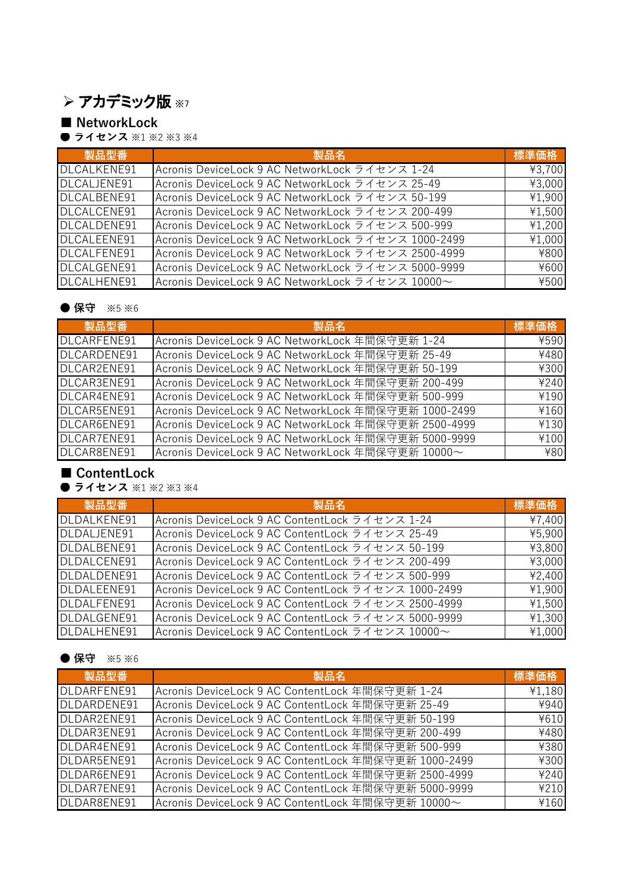# ➢ アカデミック版 ※7

## **■ NetworkLock**

**● ライセンス** ※1 ※2 ※3 ※4

| 製品型番        | 製品名                                                 | 標準価格   |
|-------------|-----------------------------------------------------|--------|
| DLCALKENE91 | Acronis DeviceLock 9 AC NetworkLock ライセンス 1-24      | ¥3,700 |
| DLCALJENE91 | Acronis DeviceLock 9 AC NetworkLock ライセンス 25-49     | ¥3,000 |
| DLCALBENE91 | Acronis DeviceLock 9 AC NetworkLock ライセンス 50-199    | ¥1,900 |
| DLCALCENE91 | Acronis DeviceLock 9 AC NetworkLock ライセンス 200-499   | ¥1,500 |
| DLCALDENE91 | Acronis DeviceLock 9 AC NetworkLock ライセンス 500-999   | ¥1,200 |
| DLCALEENE91 | Acronis DeviceLock 9 AC NetworkLock ライセンス 1000-2499 | ¥1,000 |
| DLCALFENE91 | Acronis DeviceLock 9 AC NetworkLock ライセンス 2500-4999 | ¥800   |
| DLCALGENE91 | Acronis DeviceLock 9 AC NetworkLock ライセンス 5000-9999 | ¥600   |
| DLCALHENE91 | Acronis DeviceLock 9 AC NetworkLock ライセンス 10000~    | ¥500   |

## ● 保守 ※5 ※6

| 製品型番        | 製品名                                                  | 標準価格 |
|-------------|------------------------------------------------------|------|
| DLCARFENE91 | Acronis DeviceLock 9 AC NetworkLock 年間保守更新 1-24      | ¥590 |
| DLCARDENE91 | Acronis DeviceLock 9 AC NetworkLock 年間保守更新 25-49     | ¥480 |
| DLCAR2ENE91 | Acronis DeviceLock 9 AC NetworkLock 年間保守更新 50-199    | ¥300 |
| DLCAR3ENE91 | Acronis DeviceLock 9 AC NetworkLock 年間保守更新 200-499   | ¥240 |
| DLCAR4ENE91 | Acronis DeviceLock 9 AC NetworkLock 年間保守更新 500-999   | ¥190 |
| DLCAR5ENE91 | Acronis DeviceLock 9 AC NetworkLock 年間保守更新 1000-2499 | ¥160 |
| DLCAR6ENE91 | Acronis DeviceLock 9 AC NetworkLock 年間保守更新 2500-4999 | ¥130 |
| DLCAR7ENE91 | Acronis DeviceLock 9 AC NetworkLock 年間保守更新 5000-9999 | ¥100 |
| DLCAR8ENE91 | Acronis DeviceLock 9 AC NetworkLock 年間保守更新 10000~    | ¥80  |

## **■ ContentLock**

**● ライセンス** ※1 ※2 ※3 ※4

| 製品型番        | 製品名                                                 | 標準価格   |
|-------------|-----------------------------------------------------|--------|
| DLDALKENE91 | Acronis DeviceLock 9 AC ContentLock ライセンス 1-24      | ¥7,400 |
| DLDALJENE91 | Acronis DeviceLock 9 AC ContentLock ライセンス 25-49     | ¥5,900 |
| DLDALBENE91 | Acronis DeviceLock 9 AC ContentLock ライセンス 50-199    | ¥3,800 |
| DLDALCENE91 | Acronis DeviceLock 9 AC ContentLock ライセンス 200-499   | ¥3,000 |
| DLDALDENE91 | Acronis DeviceLock 9 AC ContentLock ライセンス 500-999   | ¥2,400 |
| DLDALEENE91 | Acronis DeviceLock 9 AC ContentLock ライセンス 1000-2499 | ¥1,900 |
| DLDALFENE91 | Acronis DeviceLock 9 AC ContentLock ライセンス 2500-4999 | ¥1,500 |
| DLDALGENE91 | Acronis DeviceLock 9 AC ContentLock ライセンス 5000-9999 | ¥1,300 |
| DLDALHENE91 | Acronis DeviceLock 9 AC ContentLock ライセンス 10000~    | ¥1,000 |

## ● 保守 ※5 ※6

| 製品型番        | 製品名                                                  | 標準価格   |
|-------------|------------------------------------------------------|--------|
| DLDARFENE91 | Acronis DeviceLock 9 AC ContentLock 年間保守更新 1-24      | ¥1,180 |
| DLDARDENE91 | Acronis DeviceLock 9 AC ContentLock 年間保守更新 25-49     | ¥940   |
| DLDAR2ENE91 | Acronis DeviceLock 9 AC ContentLock 年間保守更新 50-199    | ¥610   |
| DLDAR3ENE91 | Acronis DeviceLock 9 AC ContentLock 年間保守更新 200-499   | ¥480   |
| DLDAR4ENE91 | Acronis DeviceLock 9 AC ContentLock 年間保守更新 500-999   | ¥380   |
| DLDAR5ENE91 | Acronis DeviceLock 9 AC ContentLock 年間保守更新 1000-2499 | ¥300   |
| DLDAR6ENE91 | Acronis DeviceLock 9 AC ContentLock 年間保守更新 2500-4999 | ¥240   |
| DLDAR7ENE91 | Acronis DeviceLock 9 AC ContentLock 年間保守更新 5000-9999 | ¥210   |
| DLDAR8ENE91 | Acronis DeviceLock 9 AC ContentLock 年間保守更新 10000~    | ¥160   |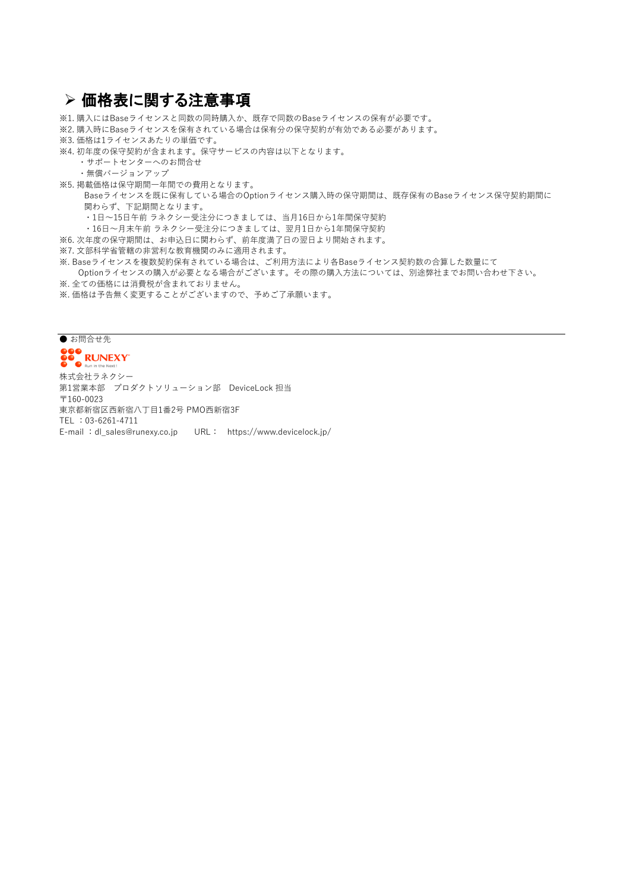## ➢ 価格表に関する注意事項

※1. 購入にはBaseライセンスと同数の同時購入か、既存で同数のBaseライセンスの保有が必要です。

※2. 購入時にBaseライセンスを保有されている場合は保有分の保守契約が有効である必要があります。

※3. 価格は1ライセンスあたりの単価です。

※4. 初年度の保守契約が含まれます。保守サービスの内容は以下となります。

- ・サポートセンターへのお問合せ
- ・無償バージョンアップ
- ※5. 掲載価格は保守期間一年間での費用となります。

 Baseライセンスを既に保有している場合のOptionライセンス購入時の保守期間は、既存保有のBaseライセンス保守契約期間に 関わらず、下記期間となります。

・1日~15日午前 ラネクシー受注分につきましては、当月16日から1年間保守契約

・16日~月末午前 ラネクシー受注分につきましては、翌月1日から1年間保守契約

※6. 次年度の保守期間は、お申込日に関わらず、前年度満了日の翌日より開始されます。

※7. 文部科学省管轄の非営利な教育機関のみに適用されます。

※. Baseライセンスを複数契約保有されている場合は、ご利用方法により各Baseライセンス契約数の合算した数量にて Optionライセンスの購入が必要となる場合がございます。その際の購入方法については、別途弊社までお問い合わせ下さい。

- ※. 全ての価格には消費税が含まれておりません。
- ※. 価格は予告無く変更することがございますので、予めご了承願います。

### ● お問合せ先 **DOO RUNEXY** 株式会社ラネクシー 第1営業本部 プロダクトソリューション部 DeviceLock 担当 〒160-0023 東京都新宿区西新宿八丁目1番2号 PMO西新宿3F TEL :03-6261-4711 E-mail :dl\_sales@runexy.co.jp URL: https://www.devicelock.jp/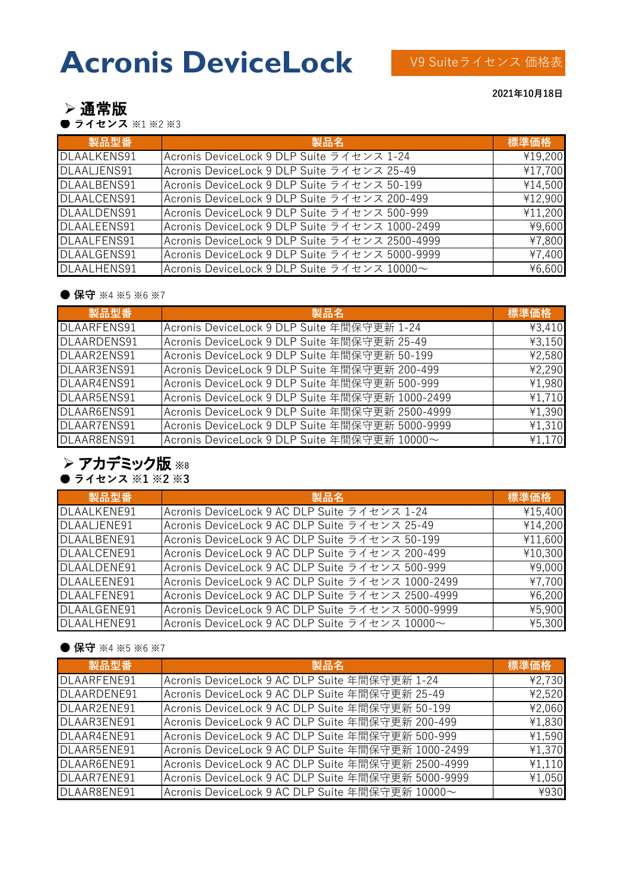# **Acronis DeviceLock**

➢ 通常版

● ライセンス ※1 ※2 ※3

| 製品型番               | 製品名                                            | 標準価格    |
|--------------------|------------------------------------------------|---------|
| DLAALKENS91        | Acronis DeviceLock 9 DLP Suite ライセンス 1-24      | ¥19,200 |
| DLAALJENS91        | Acronis DeviceLock 9 DLP Suite ライセンス 25-49     | ¥17,700 |
| DLAALBENS91        | Acronis DeviceLock 9 DLP Suite ライセンス 50-199    | ¥14,500 |
| <b>DLAALCENS91</b> | Acronis DeviceLock 9 DLP Suite ライセンス 200-499   | ¥12,900 |
| DLAALDENS91        | Acronis DeviceLock 9 DLP Suite ライセンス 500-999   | ¥11,200 |
| <b>DLAALEENS91</b> | Acronis DeviceLock 9 DLP Suite ライセンス 1000-2499 | ¥9,600  |
| <b>DLAALFENS91</b> | Acronis DeviceLock 9 DLP Suite ライセンス 2500-4999 | ¥7,800  |
| DLAALGENS91        | Acronis DeviceLock 9 DLP Suite ライセンス 5000-9999 | ¥7,400  |
| DLAALHENS91        | Acronis DeviceLock 9 DLP Suite ライセンス 10000~    | ¥6,600  |

#### ● 保守 ※4 ※5 ※6 ※7

| 製品型番               | 製品名                                             | 標準価格   |
|--------------------|-------------------------------------------------|--------|
| <b>DLAARFENS91</b> | Acronis DeviceLock 9 DLP Suite 年間保守更新 1-24      | ¥3,410 |
| DLAARDENS91        | Acronis DeviceLock 9 DLP Suite 年間保守更新 25-49     | ¥3,150 |
| DLAAR2ENS91        | Acronis DeviceLock 9 DLP Suite 年間保守更新 50-199    | ¥2,580 |
| DLAAR3ENS91        | Acronis DeviceLock 9 DLP Suite 年間保守更新 200-499   | ¥2,290 |
| DLAAR4ENS91        | Acronis DeviceLock 9 DLP Suite 年間保守更新 500-999   | ¥1,980 |
| DLAAR5ENS91        | Acronis DeviceLock 9 DLP Suite 年間保守更新 1000-2499 | ¥1,710 |
| DLAAR6ENS91        | Acronis DeviceLock 9 DLP Suite 年間保守更新 2500-4999 | ¥1,390 |
| DLAAR7ENS91        | Acronis DeviceLock 9 DLP Suite 年間保守更新 5000-9999 | ¥1,310 |
| DLAAR8ENS91        | Acronis DeviceLock 9 DLP Suite 年間保守更新 10000~    | ¥1,170 |

## **● ライセンス ※1 ※2 ※3**  ➢ アカデミック版 ※8

| 製品型番        | 製品名                                               | 標準価格    |
|-------------|---------------------------------------------------|---------|
| DLAALKENE91 | Acronis DeviceLock 9 AC DLP Suite ライセンス 1-24      | ¥15,400 |
| DLAALJENE91 | Acronis DeviceLock 9 AC DLP Suite ライセンス 25-49     | ¥14,200 |
| DLAALBENE91 | Acronis DeviceLock 9 AC DLP Suite ライセンス 50-199    | ¥11,600 |
| DLAALCENE91 | Acronis DeviceLock 9 AC DLP Suite ライセンス 200-499   | ¥10,300 |
| DLAALDENE91 | Acronis DeviceLock 9 AC DLP Suite ライセンス 500-999   | ¥9,000  |
| DLAALEENE91 | Acronis DeviceLock 9 AC DLP Suite ライセンス 1000-2499 | ¥7,700  |
| DLAALFENE91 | Acronis DeviceLock 9 AC DLP Suite ライセンス 2500-4999 | ¥6,200  |
| DLAALGENE91 | Acronis DeviceLock 9 AC DLP Suite ライセンス 5000-9999 | ¥5,900  |
| DLAALHENE91 | Acronis DeviceLock 9 AC DLP Suite ライセンス 10000~    | ¥5,300  |

### ● 保守 ※4 ※5 ※6 ※7

| 製品型番        | 製品名                                                | 標準価格   |
|-------------|----------------------------------------------------|--------|
| DLAARFENE91 | Acronis DeviceLock 9 AC DLP Suite 年間保守更新 1-24      | ¥2,730 |
| DLAARDENE91 | Acronis DeviceLock 9 AC DLP Suite 年間保守更新 25-49     | ¥2,520 |
| DLAAR2ENE91 | Acronis DeviceLock 9 AC DLP Suite 年間保守更新 50-199    | ¥2,060 |
| DLAAR3ENE91 | Acronis DeviceLock 9 AC DLP Suite 年間保守更新 200-499   | ¥1,830 |
| DLAAR4ENE91 | Acronis DeviceLock 9 AC DLP Suite 年間保守更新 500-999   | ¥1,590 |
| DLAAR5ENE91 | Acronis DeviceLock 9 AC DLP Suite 年間保守更新 1000-2499 | ¥1,370 |
| DLAAR6ENE91 | Acronis DeviceLock 9 AC DLP Suite 年間保守更新 2500-4999 | ¥1,110 |
| DLAAR7ENE91 | Acronis DeviceLock 9 AC DLP Suite 年間保守更新 5000-9999 | ¥1,050 |
| DLAAR8ENE91 | Acronis DeviceLock 9 AC DLP Suite 年間保守更新 10000~    | ¥930   |

#### **2021年10月18日**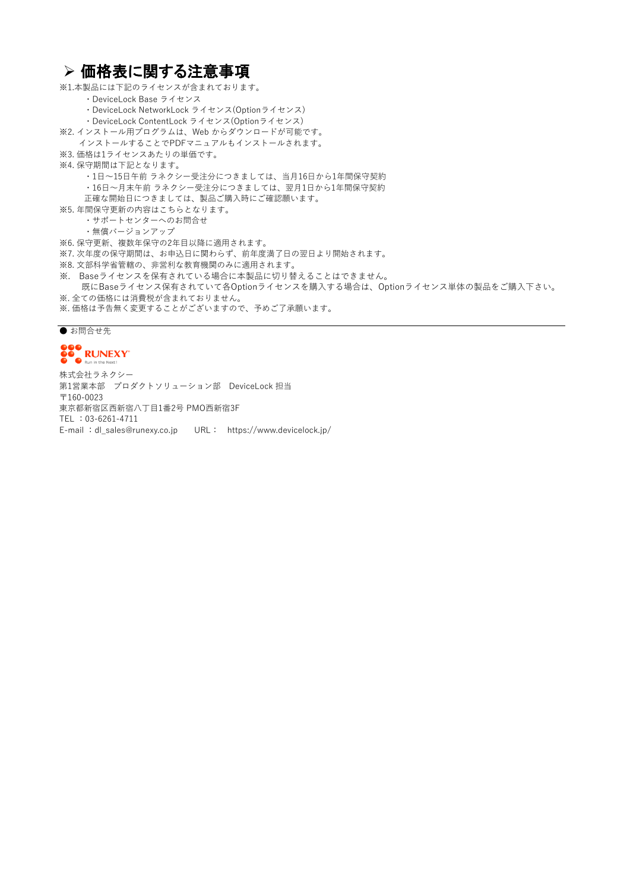・DeviceLock Base ライセンス ・DeviceLock NetworkLock ライセンス(Optionライセンス) ・DeviceLock ContentLock ライセンス(Optionライセンス) ※2. インストール用プログラムは、Web からダウンロードが可能です。 インストールすることでPDFマニュアルもインストールされます。 ※3. 価格は1ライセンスあたりの単価です。 ※4. 保守期間は下記となります。 ・1日~15日午前 ラネクシー受注分につきましては、当月16日から1年間保守契約 ・16日~月末午前 ラネクシー受注分につきましては、翌月1日から1年間保守契約 正確な開始日につきましては、製品ご購入時にご確認願います。 ※5. 年間保守更新の内容はこちらとなります。 ・サポートセンターへのお問合せ ・無償バージョンアップ ※6. 保守更新、複数年保守の2年目以降に適用されます。 ※7. 次年度の保守期間は、お申込日に関わらず、前年度満了日の翌日より開始されます。 ※8. 文部科学省管轄の、非営利な教育機関のみに適用されます。 ※. Baseライセンスを保有されている場合に本製品に切り替えることはできません。 既にBaseライセンス保有されていて各Optionライセンスを購入する場合は、Optionライセンス単体の製品をご購入下さい。 ※. 全ての価格には消費税が含まれておりません。 ※1.本製品には下記のライセンスが含まれております。 ➢ 価格表に関する注意事項

※. 価格は予告無く変更することがございますので、予めご了承願います。

#### ● お問合せ先



第1営業本部 プロダクトソリューション部 DeviceLock 担当 〒160-0023 E-mail :dl\_sales@runexy.co.jp URL: https://www.devicelock.jp/ 株式会社ラネクシー 東京都新宿区西新宿八丁目1番2号 PMO西新宿3F TEL :03-6261-4711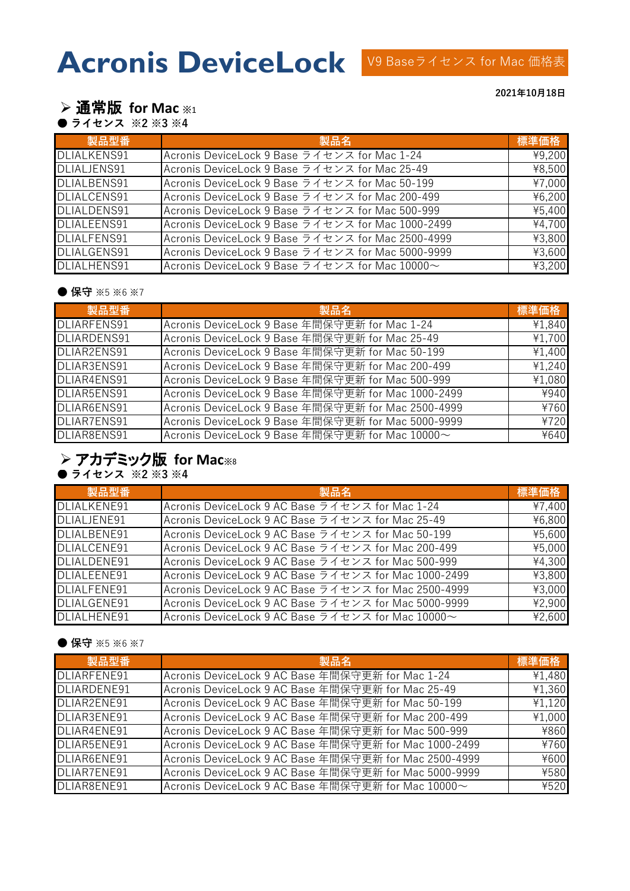**2021年10月18日**

## ➢ 通常版 **for Mac** ※<sup>1</sup>

**● ライセンス ※2 ※3 ※4** 

| 製品型番               | 製品名                                                                         | 標準価格                |
|--------------------|-----------------------------------------------------------------------------|---------------------|
| <b>DLIALKENS91</b> | Acronis DeviceLock 9 Base ライセンス for Mac 1-24                                | $\overline{*}9,200$ |
| DLIALJENS91        | Acronis DeviceLock 9 Base ライセンス for Mac 25-49                               | ¥8,500              |
| DLIALBENS91        | Acronis DeviceLock 9 Base ライセンス for Mac 50-199                              | ¥7,000              |
| DLIALCENS91        | Acronis DeviceLock 9 Base ライセンス for Mac 200-499                             | ¥6,200              |
| DLIALDENS91        | Acronis DeviceLock 9 Base ライセンス for Mac 500-999                             | ¥5,400              |
| <b>DLIALEENS91</b> | Acronis DeviceLock 9 Base ライセンス for Mac 1000-2499                           | ¥4,700              |
| <b>DLIALFENS91</b> | Acronis DeviceLock 9 Base ライセンス for Mac 2500-4999                           | ¥3,800              |
| DLIALGENS91        | Acronis DeviceLock 9 Base ライセンス for Mac 5000-9999                           | ¥3,600              |
| DLIALHENS91        | Acronis DeviceLock 9 Base $\overline{z}$ of $z \neq z$ for Mac 10000 $\sim$ | ¥3,200              |

#### ● 保守 ※5 ※6 ※7

| 製品型番               | 製品名                                                | 標準価格   |
|--------------------|----------------------------------------------------|--------|
| <b>DLIARFENS91</b> | Acronis DeviceLock 9 Base 年間保守更新 for Mac 1-24      | ¥1,840 |
| <b>DLIARDENS91</b> | Acronis DeviceLock 9 Base 年間保守更新 for Mac 25-49     | ¥1,700 |
| DLIAR2ENS91        | Acronis DeviceLock 9 Base 年間保守更新 for Mac 50-199    | ¥1,400 |
| DLIAR3ENS91        | Acronis DeviceLock 9 Base 年間保守更新 for Mac 200-499   | ¥1,240 |
| DLIAR4ENS91        | Acronis DeviceLock 9 Base 年間保守更新 for Mac 500-999   | ¥1,080 |
| DLIAR5ENS91        | Acronis DeviceLock 9 Base 年間保守更新 for Mac 1000-2499 | ¥940   |
| DLIAR6ENS91        | Acronis DeviceLock 9 Base 年間保守更新 for Mac 2500-4999 | ¥760   |
| DLIAR7ENS91        | Acronis DeviceLock 9 Base 年間保守更新 for Mac 5000-9999 | ¥720   |
| DLIAR8ENS91        | Acronis DeviceLock 9 Base 年間保守更新 for Mac 10000~    | ¥640   |

# ➢ アカデミック版 **for Mac**※8

**● ライセンス ※2 ※3 ※4** 

| 製品型番        | 製品名                                                                      | 標準価格   |
|-------------|--------------------------------------------------------------------------|--------|
| DLIALKENE91 | Acronis DeviceLock 9 AC Base ライセンス for Mac 1-24                          | ¥7,400 |
| DLIALJENE91 | Acronis DeviceLock 9 AC Base ライセンス for Mac 25-49                         | ¥6,800 |
| DLIALBENE91 | Acronis DeviceLock 9 AC Base ライセンス for Mac 50-199                        | ¥5,600 |
| DLIALCENE91 | Acronis DeviceLock 9 AC Base ライセンス for Mac 200-499                       | ¥5,000 |
| DLIALDENE91 | Acronis DeviceLock 9 AC Base ライセンス for Mac 500-999                       | ¥4,300 |
| DLIALEENE91 | Acronis DeviceLock 9 AC Base ライセンス for Mac 1000-2499                     | ¥3,800 |
| DLIALFENE91 | Acronis DeviceLock 9 AC Base ライセンス for Mac 2500-4999                     | ¥3,000 |
| DLIALGENE91 | Acronis DeviceLock 9 AC Base ライセンス for Mac 5000-9999                     | ¥2,900 |
| DLIALHENE91 | Acronis DeviceLock 9 AC Base $\bar{z}$ of $\bar{z}$ for Mac 10000 $\sim$ | ¥2,600 |

### ● 保守 ※5 ※6 ※7

| 製品型番               | 製品名                                                   | 標準価格   |
|--------------------|-------------------------------------------------------|--------|
| <b>DLIARFENE91</b> | Acronis DeviceLock 9 AC Base 年間保守更新 for Mac 1-24      | ¥1,480 |
| DLIARDENE91        | Acronis DeviceLock 9 AC Base 年間保守更新 for Mac 25-49     | ¥1,360 |
| DLIAR2ENE91        | Acronis DeviceLock 9 AC Base 年間保守更新 for Mac 50-199    | ¥1,120 |
| DLIAR3ENE91        | Acronis DeviceLock 9 AC Base 年間保守更新 for Mac 200-499   | ¥1,000 |
| DLIAR4ENE91        | Acronis DeviceLock 9 AC Base 年間保守更新 for Mac 500-999   | ¥860   |
| DLIAR5ENE91        | Acronis DeviceLock 9 AC Base 年間保守更新 for Mac 1000-2499 | ¥760   |
| DLIAR6ENE91        | Acronis DeviceLock 9 AC Base 年間保守更新 for Mac 2500-4999 | ¥600   |
| DLIAR7ENE91        | Acronis DeviceLock 9 AC Base 年間保守更新 for Mac 5000-9999 | ¥580   |
| DLIAR8ENE91        | Acronis DeviceLock 9 AC Base 年間保守更新 for Mac 10000~    | ¥520   |